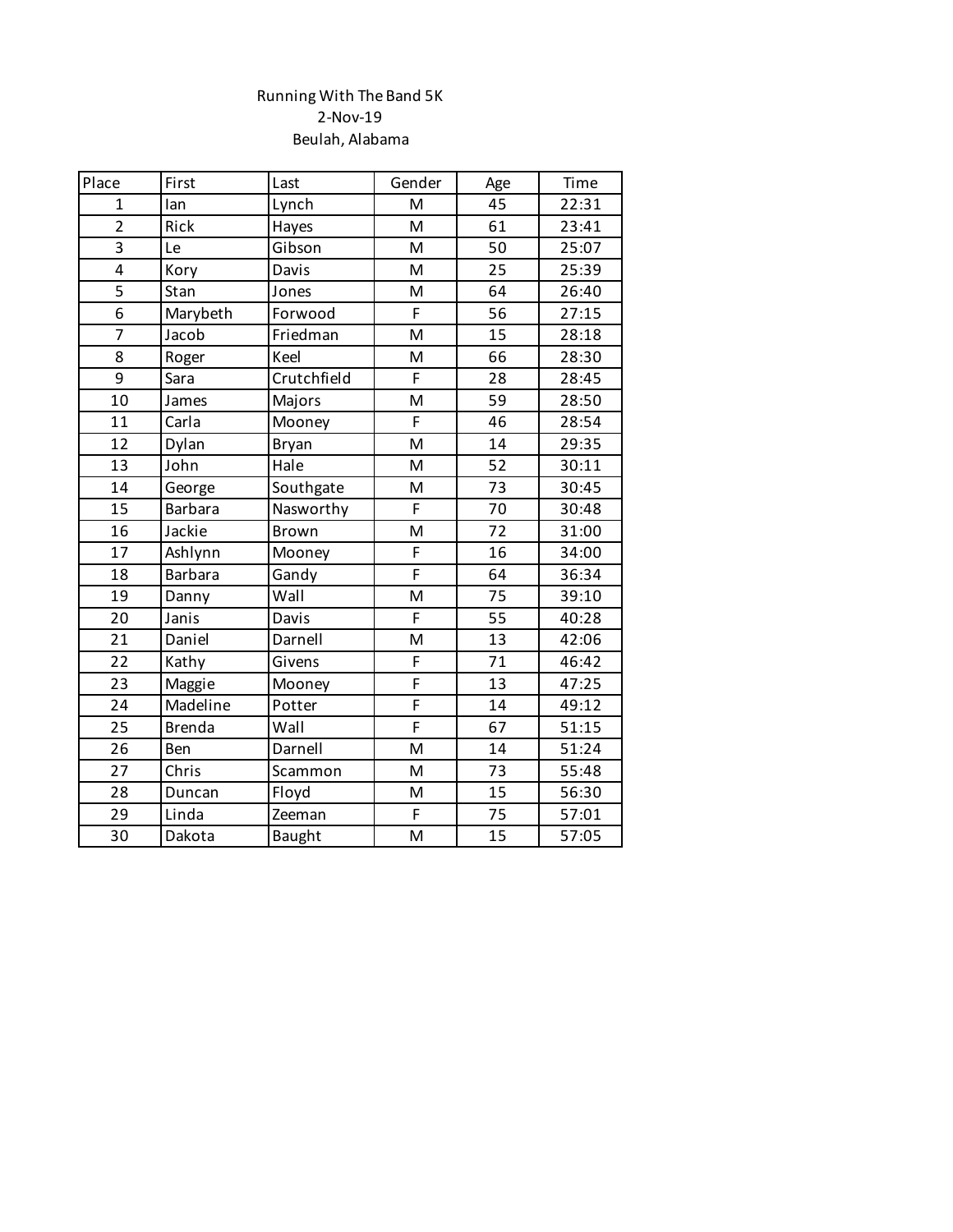## Running With The Band 5K 2-Nov-19 Beulah, Alabama

| Place          | First          | Last        | Gender         | Age | Time  |
|----------------|----------------|-------------|----------------|-----|-------|
| $\mathbf{1}$   | lan            | Lynch       | M              | 45  | 22:31 |
| $\overline{2}$ | Rick           | Hayes       | M              | 61  | 23:41 |
| 3              | Le             | Gibson      | M              | 50  | 25:07 |
| 4              | Kory           | Davis       | M              | 25  | 25:39 |
| 5              | Stan           | Jones       | M              | 64  | 26:40 |
| 6              | Marybeth       | Forwood     | F              | 56  | 27:15 |
| $\overline{7}$ | Jacob          | Friedman    | M              | 15  | 28:18 |
| $\overline{8}$ | Roger          | Keel        | M              | 66  | 28:30 |
| 9              | Sara           | Crutchfield | F              | 28  | 28:45 |
| 10             | James          | Majors      | M              | 59  | 28:50 |
| 11             | Carla          | Mooney      | F              | 46  | 28:54 |
| 12             | Dylan          | Bryan       | M              | 14  | 29:35 |
| 13             | John           | Hale        | M              | 52  | 30:11 |
| 14             | George         | Southgate   | M              | 73  | 30:45 |
| 15             | <b>Barbara</b> | Nasworthy   | F              | 70  | 30:48 |
| 16             | Jackie         | Brown       | M              | 72  | 31:00 |
| 17             | Ashlynn        | Mooney      | F              | 16  | 34:00 |
| 18             | <b>Barbara</b> | Gandy       | F              | 64  | 36:34 |
| 19             | Danny          | Wall        | M              | 75  | 39:10 |
| 20             | Janis          | Davis       | F              | 55  | 40:28 |
| 21             | Daniel         | Darnell     | M              | 13  | 42:06 |
| 22             | Kathy          | Givens      | F              | 71  | 46:42 |
| 23             | Maggie         | Mooney      | $\overline{F}$ | 13  | 47:25 |
| 24             | Madeline       | Potter      | F              | 14  | 49:12 |
| 25             | <b>Brenda</b>  | Wall        | F              | 67  | 51:15 |
| 26             | Ben            | Darnell     | M              | 14  | 51:24 |
| 27             | Chris          | Scammon     | M              | 73  | 55:48 |
| 28             | Duncan         | Floyd       | M              | 15  | 56:30 |
| 29             | Linda          | Zeeman      | F              | 75  | 57:01 |
| 30             | Dakota         | Baught      | M              | 15  | 57:05 |
|                |                |             |                |     |       |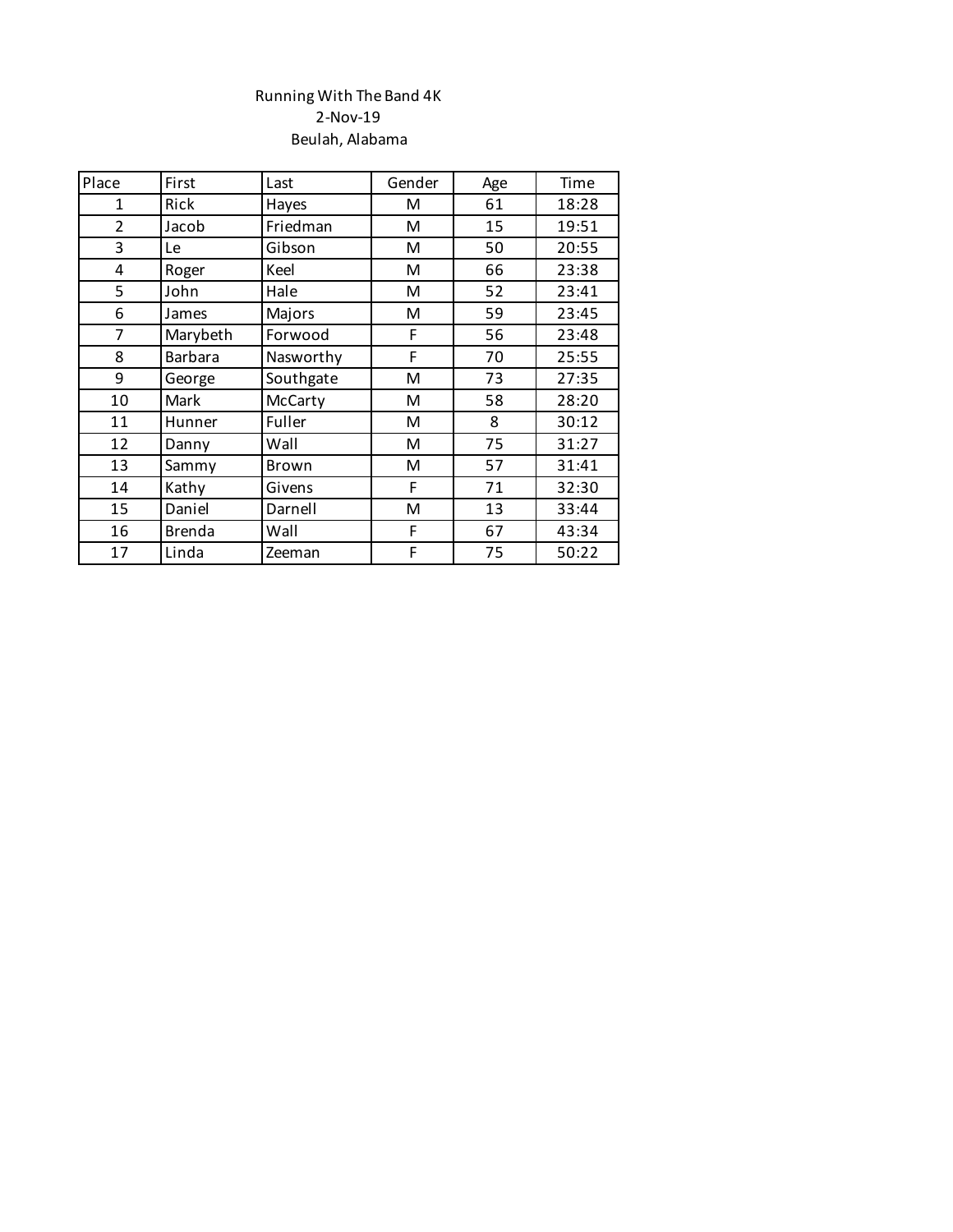## Running With The Band 4K 2-Nov-19 Beulah, Alabama

| Place          | First          | Last      | Gender | Age | Time  |
|----------------|----------------|-----------|--------|-----|-------|
| $\mathbf{1}$   | Rick           | Hayes     | M      | 61  | 18:28 |
| $\overline{2}$ | Jacob          | Friedman  | M      | 15  | 19:51 |
| 3              | Le             | Gibson    | M      | 50  | 20:55 |
| 4              | Roger          | Keel      | M      | 66  | 23:38 |
| 5              | John           | Hale      | M      | 52  | 23:41 |
| 6              | James          | Majors    | M      | 59  | 23:45 |
| 7              | Marybeth       | Forwood   | F      | 56  | 23:48 |
| 8              | <b>Barbara</b> | Nasworthy | F      | 70  | 25:55 |
| 9              | George         | Southgate | M      | 73  | 27:35 |
| 10             | Mark           | McCarty   | M      | 58  | 28:20 |
| 11             | Hunner         | Fuller    | M      | 8   | 30:12 |
| 12             | Danny          | Wall      | M      | 75  | 31:27 |
| 13             | Sammy          | Brown     | M      | 57  | 31:41 |
| 14             | Kathy          | Givens    | F      | 71  | 32:30 |
| 15             | Daniel         | Darnell   | M      | 13  | 33:44 |
| 16             | <b>Brenda</b>  | Wall      | F      | 67  | 43:34 |
| 17             | Linda          | Zeeman    | F      | 75  | 50:22 |